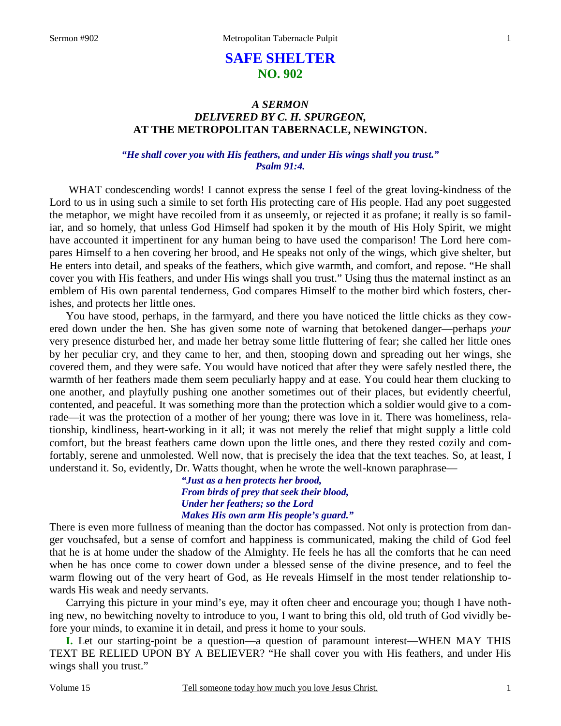### 1

# **SAFE SHELTER NO. 902**

### *A SERMON DELIVERED BY C. H. SPURGEON,*  **AT THE METROPOLITAN TABERNACLE, NEWINGTON.**

### *"He shall cover you with His feathers, and under His wings shall you trust." Psalm 91:4.*

WHAT condescending words! I cannot express the sense I feel of the great loving-kindness of the Lord to us in using such a simile to set forth His protecting care of His people. Had any poet suggested the metaphor, we might have recoiled from it as unseemly, or rejected it as profane; it really is so familiar, and so homely, that unless God Himself had spoken it by the mouth of His Holy Spirit, we might have accounted it impertinent for any human being to have used the comparison! The Lord here compares Himself to a hen covering her brood, and He speaks not only of the wings, which give shelter, but He enters into detail, and speaks of the feathers, which give warmth, and comfort, and repose. "He shall cover you with His feathers, and under His wings shall you trust." Using thus the maternal instinct as an emblem of His own parental tenderness, God compares Himself to the mother bird which fosters, cherishes, and protects her little ones.

 You have stood, perhaps, in the farmyard, and there you have noticed the little chicks as they cowered down under the hen. She has given some note of warning that betokened danger—perhaps *your* very presence disturbed her, and made her betray some little fluttering of fear; she called her little ones by her peculiar cry, and they came to her, and then, stooping down and spreading out her wings, she covered them, and they were safe. You would have noticed that after they were safely nestled there, the warmth of her feathers made them seem peculiarly happy and at ease. You could hear them clucking to one another, and playfully pushing one another sometimes out of their places, but evidently cheerful, contented, and peaceful. It was something more than the protection which a soldier would give to a comrade—it was the protection of a mother of her young; there was love in it. There was homeliness, relationship, kindliness, heart-working in it all; it was not merely the relief that might supply a little cold comfort, but the breast feathers came down upon the little ones, and there they rested cozily and comfortably, serene and unmolested. Well now, that is precisely the idea that the text teaches. So, at least, I understand it. So, evidently, Dr. Watts thought, when he wrote the well-known paraphrase—

> *"Just as a hen protects her brood, From birds of prey that seek their blood, Under her feathers; so the Lord Makes His own arm His people's guard."*

There is even more fullness of meaning than the doctor has compassed. Not only is protection from danger vouchsafed, but a sense of comfort and happiness is communicated, making the child of God feel that he is at home under the shadow of the Almighty. He feels he has all the comforts that he can need when he has once come to cower down under a blessed sense of the divine presence, and to feel the warm flowing out of the very heart of God, as He reveals Himself in the most tender relationship towards His weak and needy servants.

 Carrying this picture in your mind's eye, may it often cheer and encourage you; though I have nothing new, no bewitching novelty to introduce to you, I want to bring this old, old truth of God vividly before your minds, to examine it in detail, and press it home to your souls.

**I.** Let our starting-point be a question—a question of paramount interest—WHEN MAY THIS TEXT BE RELIED UPON BY A BELIEVER? "He shall cover you with His feathers, and under His wings shall you trust."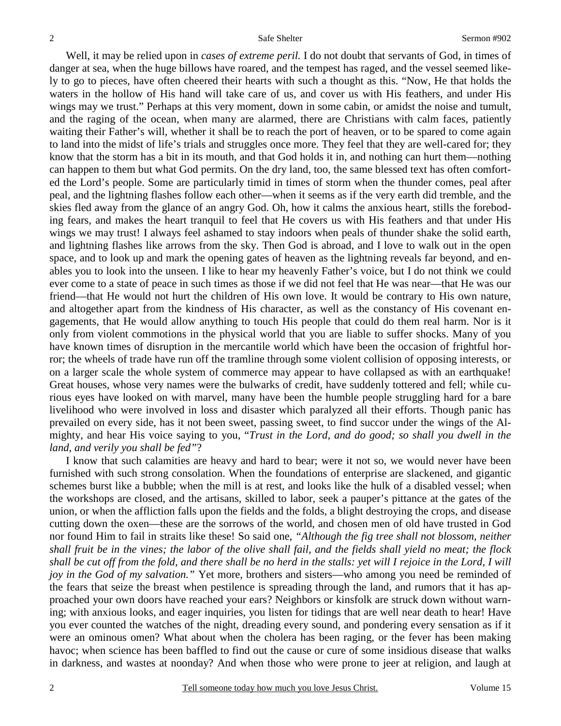Well, it may be relied upon in *cases of extreme peril.* I do not doubt that servants of God, in times of danger at sea, when the huge billows have roared, and the tempest has raged, and the vessel seemed likely to go to pieces, have often cheered their hearts with such a thought as this. "Now, He that holds the waters in the hollow of His hand will take care of us, and cover us with His feathers, and under His wings may we trust." Perhaps at this very moment, down in some cabin, or amidst the noise and tumult, and the raging of the ocean, when many are alarmed, there are Christians with calm faces, patiently waiting their Father's will, whether it shall be to reach the port of heaven, or to be spared to come again to land into the midst of life's trials and struggles once more. They feel that they are well-cared for; they know that the storm has a bit in its mouth, and that God holds it in, and nothing can hurt them—nothing can happen to them but what God permits. On the dry land, too, the same blessed text has often comforted the Lord's people. Some are particularly timid in times of storm when the thunder comes, peal after peal, and the lightning flashes follow each other—when it seems as if the very earth did tremble, and the skies fled away from the glance of an angry God. Oh, how it calms the anxious heart, stills the foreboding fears, and makes the heart tranquil to feel that He covers us with His feathers and that under His wings we may trust! I always feel ashamed to stay indoors when peals of thunder shake the solid earth, and lightning flashes like arrows from the sky. Then God is abroad, and I love to walk out in the open space, and to look up and mark the opening gates of heaven as the lightning reveals far beyond, and enables you to look into the unseen. I like to hear my heavenly Father's voice, but I do not think we could ever come to a state of peace in such times as those if we did not feel that He was near—that He was our friend—that He would not hurt the children of His own love. It would be contrary to His own nature, and altogether apart from the kindness of His character, as well as the constancy of His covenant engagements, that He would allow anything to touch His people that could do them real harm. Nor is it only from violent commotions in the physical world that you are liable to suffer shocks. Many of you have known times of disruption in the mercantile world which have been the occasion of frightful horror; the wheels of trade have run off the tramline through some violent collision of opposing interests, or on a larger scale the whole system of commerce may appear to have collapsed as with an earthquake! Great houses, whose very names were the bulwarks of credit, have suddenly tottered and fell; while curious eyes have looked on with marvel, many have been the humble people struggling hard for a bare livelihood who were involved in loss and disaster which paralyzed all their efforts. Though panic has prevailed on every side, has it not been sweet, passing sweet, to find succor under the wings of the Almighty, and hear His voice saying to you, "*Trust in the Lord, and do good; so shall you dwell in the land, and verily you shall be fed"*?

 I know that such calamities are heavy and hard to bear; were it not so, we would never have been furnished with such strong consolation. When the foundations of enterprise are slackened, and gigantic schemes burst like a bubble; when the mill is at rest, and looks like the hulk of a disabled vessel; when the workshops are closed, and the artisans, skilled to labor, seek a pauper's pittance at the gates of the union, or when the affliction falls upon the fields and the folds, a blight destroying the crops, and disease cutting down the oxen—these are the sorrows of the world, and chosen men of old have trusted in God nor found Him to fail in straits like these! So said one, *"Although the fig tree shall not blossom, neither shall fruit be in the vines; the labor of the olive shall fail, and the fields shall yield no meat; the flock shall be cut off from the fold, and there shall be no herd in the stalls: yet will I rejoice in the Lord, I will joy in the God of my salvation."* Yet more, brothers and sisters—who among you need be reminded of the fears that seize the breast when pestilence is spreading through the land, and rumors that it has approached your own doors have reached your ears? Neighbors or kinsfolk are struck down without warning; with anxious looks, and eager inquiries, you listen for tidings that are well near death to hear! Have you ever counted the watches of the night, dreading every sound, and pondering every sensation as if it were an ominous omen? What about when the cholera has been raging, or the fever has been making havoc; when science has been baffled to find out the cause or cure of some insidious disease that walks in darkness, and wastes at noonday? And when those who were prone to jeer at religion, and laugh at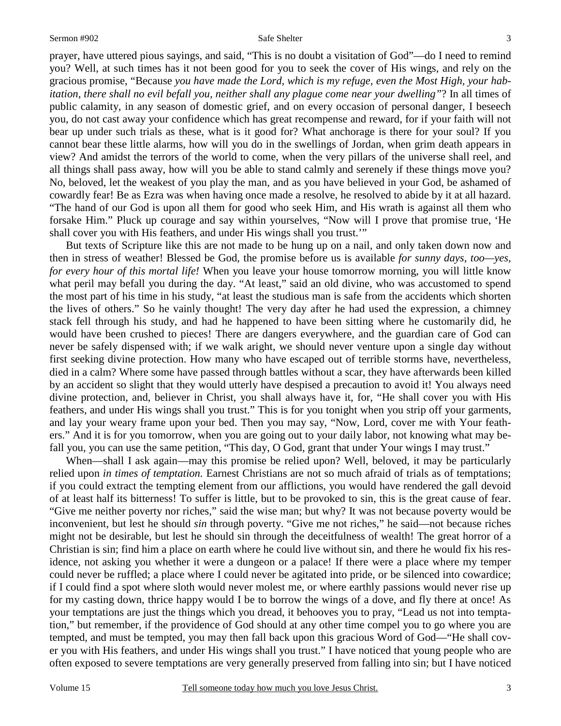prayer, have uttered pious sayings, and said, "This is no doubt a visitation of God"—do I need to remind you? Well, at such times has it not been good for you to seek the cover of His wings, and rely on the gracious promise, "Because *you have made the Lord, which is my refuge, even the Most High, your habitation, there shall no evil befall you, neither shall any plague come near your dwelling"*? In all times of public calamity, in any season of domestic grief, and on every occasion of personal danger, I beseech you, do not cast away your confidence which has great recompense and reward, for if your faith will not bear up under such trials as these, what is it good for? What anchorage is there for your soul? If you cannot bear these little alarms, how will you do in the swellings of Jordan, when grim death appears in view? And amidst the terrors of the world to come, when the very pillars of the universe shall reel, and all things shall pass away, how will you be able to stand calmly and serenely if these things move you? No, beloved, let the weakest of you play the man, and as you have believed in your God, be ashamed of cowardly fear! Be as Ezra was when having once made a resolve, he resolved to abide by it at all hazard. "The hand of our God is upon all them for good who seek Him, and His wrath is against all them who forsake Him." Pluck up courage and say within yourselves, "Now will I prove that promise true, 'He shall cover you with His feathers, and under His wings shall you trust.'"

 But texts of Scripture like this are not made to be hung up on a nail, and only taken down now and then in stress of weather! Blessed be God, the promise before us is available *for sunny days, too—yes, for every hour of this mortal life!* When you leave your house tomorrow morning, you will little know what peril may befall you during the day. "At least," said an old divine, who was accustomed to spend the most part of his time in his study, "at least the studious man is safe from the accidents which shorten the lives of others." So he vainly thought! The very day after he had used the expression, a chimney stack fell through his study, and had he happened to have been sitting where he customarily did, he would have been crushed to pieces! There are dangers everywhere, and the guardian care of God can never be safely dispensed with; if we walk aright, we should never venture upon a single day without first seeking divine protection. How many who have escaped out of terrible storms have, nevertheless, died in a calm? Where some have passed through battles without a scar, they have afterwards been killed by an accident so slight that they would utterly have despised a precaution to avoid it! You always need divine protection, and, believer in Christ, you shall always have it, for, "He shall cover you with His feathers, and under His wings shall you trust." This is for you tonight when you strip off your garments, and lay your weary frame upon your bed. Then you may say, "Now, Lord, cover me with Your feathers." And it is for you tomorrow, when you are going out to your daily labor, not knowing what may befall you, you can use the same petition, "This day, O God, grant that under Your wings I may trust."

When—shall I ask again—may this promise be relied upon? Well, beloved, it may be particularly relied upon *in times of temptation.* Earnest Christians are not so much afraid of trials as of temptations; if you could extract the tempting element from our afflictions, you would have rendered the gall devoid of at least half its bitterness! To suffer is little, but to be provoked to sin, this is the great cause of fear. "Give me neither poverty nor riches," said the wise man; but why? It was not because poverty would be inconvenient, but lest he should *sin* through poverty. "Give me not riches," he said—not because riches might not be desirable, but lest he should sin through the deceitfulness of wealth! The great horror of a Christian is sin; find him a place on earth where he could live without sin, and there he would fix his residence, not asking you whether it were a dungeon or a palace! If there were a place where my temper could never be ruffled; a place where I could never be agitated into pride, or be silenced into cowardice; if I could find a spot where sloth would never molest me, or where earthly passions would never rise up for my casting down, thrice happy would I be to borrow the wings of a dove, and fly there at once! As your temptations are just the things which you dread, it behooves you to pray, "Lead us not into temptation," but remember, if the providence of God should at any other time compel you to go where you are tempted, and must be tempted, you may then fall back upon this gracious Word of God—"He shall cover you with His feathers, and under His wings shall you trust." I have noticed that young people who are often exposed to severe temptations are very generally preserved from falling into sin; but I have noticed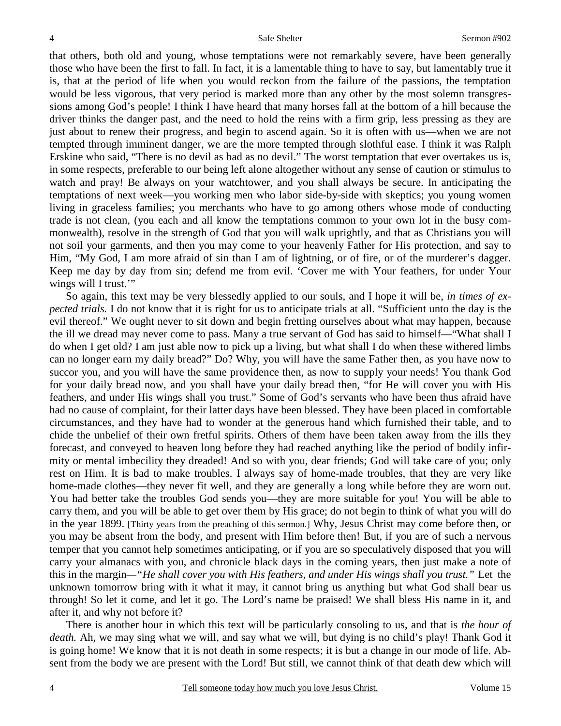that others, both old and young, whose temptations were not remarkably severe, have been generally those who have been the first to fall. In fact, it is a lamentable thing to have to say, but lamentably true it is, that at the period of life when you would reckon from the failure of the passions, the temptation would be less vigorous, that very period is marked more than any other by the most solemn transgressions among God's people! I think I have heard that many horses fall at the bottom of a hill because the driver thinks the danger past, and the need to hold the reins with a firm grip, less pressing as they are just about to renew their progress, and begin to ascend again. So it is often with us—when we are not tempted through imminent danger, we are the more tempted through slothful ease. I think it was Ralph Erskine who said, "There is no devil as bad as no devil." The worst temptation that ever overtakes us is, in some respects, preferable to our being left alone altogether without any sense of caution or stimulus to watch and pray! Be always on your watchtower, and you shall always be secure. In anticipating the temptations of next week—you working men who labor side-by-side with skeptics; you young women living in graceless families; you merchants who have to go among others whose mode of conducting trade is not clean, (you each and all know the temptations common to your own lot in the busy commonwealth), resolve in the strength of God that you will walk uprightly, and that as Christians you will not soil your garments, and then you may come to your heavenly Father for His protection, and say to Him, "My God, I am more afraid of sin than I am of lightning, or of fire, or of the murderer's dagger. Keep me day by day from sin; defend me from evil. 'Cover me with Your feathers, for under Your wings will I trust."

 So again, this text may be very blessedly applied to our souls, and I hope it will be, *in times of expected trials.* I do not know that it is right for us to anticipate trials at all. "Sufficient unto the day is the evil thereof." We ought never to sit down and begin fretting ourselves about what may happen, because the ill we dread may never come to pass. Many a true servant of God has said to himself—"What shall I do when I get old? I am just able now to pick up a living, but what shall I do when these withered limbs can no longer earn my daily bread?" Do? Why, you will have the same Father then, as you have now to succor you, and you will have the same providence then, as now to supply your needs! You thank God for your daily bread now, and you shall have your daily bread then, "for He will cover you with His feathers, and under His wings shall you trust." Some of God's servants who have been thus afraid have had no cause of complaint, for their latter days have been blessed. They have been placed in comfortable circumstances, and they have had to wonder at the generous hand which furnished their table, and to chide the unbelief of their own fretful spirits. Others of them have been taken away from the ills they forecast, and conveyed to heaven long before they had reached anything like the period of bodily infirmity or mental imbecility they dreaded! And so with you, dear friends; God will take care of you; only rest on Him. It is bad to make troubles. I always say of home-made troubles, that they are very like home-made clothes—they never fit well, and they are generally a long while before they are worn out. You had better take the troubles God sends you—they are more suitable for you! You will be able to carry them, and you will be able to get over them by His grace; do not begin to think of what you will do in the year 1899. [Thirty years from the preaching of this sermon.] Why, Jesus Christ may come before then, or you may be absent from the body, and present with Him before then! But, if you are of such a nervous temper that you cannot help sometimes anticipating, or if you are so speculatively disposed that you will carry your almanacs with you, and chronicle black days in the coming years, then just make a note of this in the margin*—"He shall cover you with His feathers, and under His wings shall you trust."* Let the unknown tomorrow bring with it what it may, it cannot bring us anything but what God shall bear us through! So let it come, and let it go. The Lord's name be praised! We shall bless His name in it, and after it, and why not before it?

 There is another hour in which this text will be particularly consoling to us, and that is *the hour of death.* Ah, we may sing what we will, and say what we will, but dying is no child's play! Thank God it is going home! We know that it is not death in some respects; it is but a change in our mode of life. Absent from the body we are present with the Lord! But still, we cannot think of that death dew which will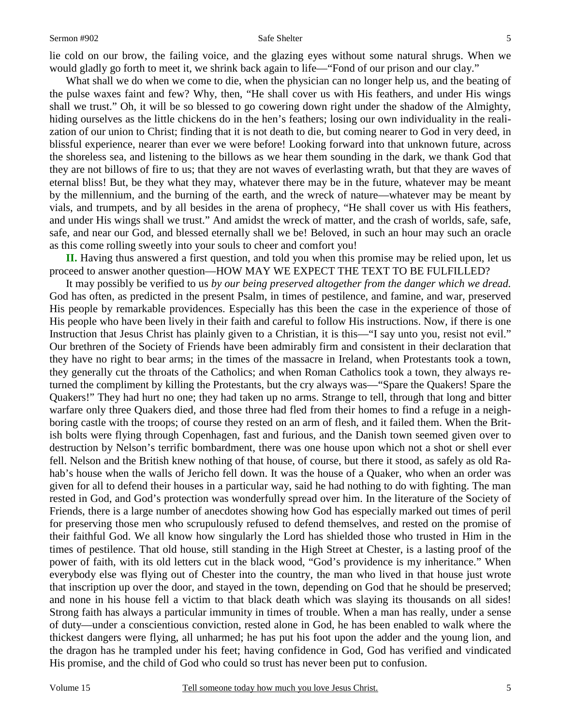lie cold on our brow, the failing voice, and the glazing eyes without some natural shrugs. When we would gladly go forth to meet it, we shrink back again to life—"Fond of our prison and our clay."

 What shall we do when we come to die, when the physician can no longer help us, and the beating of the pulse waxes faint and few? Why, then, "He shall cover us with His feathers, and under His wings shall we trust." Oh, it will be so blessed to go cowering down right under the shadow of the Almighty, hiding ourselves as the little chickens do in the hen's feathers; losing our own individuality in the realization of our union to Christ; finding that it is not death to die, but coming nearer to God in very deed, in blissful experience, nearer than ever we were before! Looking forward into that unknown future, across the shoreless sea, and listening to the billows as we hear them sounding in the dark, we thank God that they are not billows of fire to us; that they are not waves of everlasting wrath, but that they are waves of eternal bliss! But, be they what they may, whatever there may be in the future, whatever may be meant by the millennium, and the burning of the earth, and the wreck of nature—whatever may be meant by vials, and trumpets, and by all besides in the arena of prophecy, "He shall cover us with His feathers, and under His wings shall we trust." And amidst the wreck of matter, and the crash of worlds, safe, safe, safe, and near our God, and blessed eternally shall we be! Beloved, in such an hour may such an oracle as this come rolling sweetly into your souls to cheer and comfort you!

**II.** Having thus answered a first question, and told you when this promise may be relied upon, let us proceed to answer another question—HOW MAY WE EXPECT THE TEXT TO BE FULFILLED?

 It may possibly be verified to us *by our being preserved altogether from the danger which we dread.*  God has often, as predicted in the present Psalm, in times of pestilence, and famine, and war, preserved His people by remarkable providences. Especially has this been the case in the experience of those of His people who have been lively in their faith and careful to follow His instructions. Now, if there is one Instruction that Jesus Christ has plainly given to a Christian, it is this—"I say unto you, resist not evil." Our brethren of the Society of Friends have been admirably firm and consistent in their declaration that they have no right to bear arms; in the times of the massacre in Ireland, when Protestants took a town, they generally cut the throats of the Catholics; and when Roman Catholics took a town, they always returned the compliment by killing the Protestants, but the cry always was—"Spare the Quakers! Spare the Quakers!" They had hurt no one; they had taken up no arms. Strange to tell, through that long and bitter warfare only three Quakers died, and those three had fled from their homes to find a refuge in a neighboring castle with the troops; of course they rested on an arm of flesh, and it failed them. When the British bolts were flying through Copenhagen, fast and furious, and the Danish town seemed given over to destruction by Nelson's terrific bombardment, there was one house upon which not a shot or shell ever fell. Nelson and the British knew nothing of that house, of course, but there it stood, as safely as old Rahab's house when the walls of Jericho fell down. It was the house of a Quaker, who when an order was given for all to defend their houses in a particular way, said he had nothing to do with fighting. The man rested in God, and God's protection was wonderfully spread over him. In the literature of the Society of Friends, there is a large number of anecdotes showing how God has especially marked out times of peril for preserving those men who scrupulously refused to defend themselves, and rested on the promise of their faithful God. We all know how singularly the Lord has shielded those who trusted in Him in the times of pestilence. That old house, still standing in the High Street at Chester, is a lasting proof of the power of faith, with its old letters cut in the black wood, "God's providence is my inheritance." When everybody else was flying out of Chester into the country, the man who lived in that house just wrote that inscription up over the door, and stayed in the town, depending on God that he should be preserved; and none in his house fell a victim to that black death which was slaying its thousands on all sides! Strong faith has always a particular immunity in times of trouble. When a man has really, under a sense of duty—under a conscientious conviction, rested alone in God, he has been enabled to walk where the thickest dangers were flying, all unharmed; he has put his foot upon the adder and the young lion, and the dragon has he trampled under his feet; having confidence in God, God has verified and vindicated His promise, and the child of God who could so trust has never been put to confusion.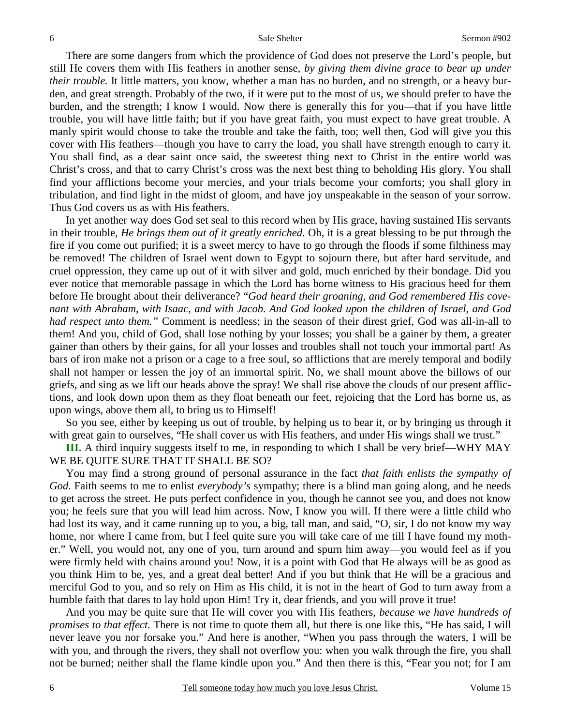There are some dangers from which the providence of God does not preserve the Lord's people, but still He covers them with His feathers in another sense, *by giving them divine grace to bear up under their trouble.* It little matters, you know, whether a man has no burden, and no strength, or a heavy burden, and great strength. Probably of the two, if it were put to the most of us, we should prefer to have the burden, and the strength; I know I would. Now there is generally this for you—that if you have little trouble, you will have little faith; but if you have great faith, you must expect to have great trouble. A manly spirit would choose to take the trouble and take the faith, too; well then, God will give you this cover with His feathers—though you have to carry the load, you shall have strength enough to carry it. You shall find, as a dear saint once said, the sweetest thing next to Christ in the entire world was Christ's cross, and that to carry Christ's cross was the next best thing to beholding His glory. You shall find your afflictions become your mercies, and your trials become your comforts; you shall glory in tribulation, and find light in the midst of gloom, and have joy unspeakable in the season of your sorrow. Thus God covers us as with His feathers.

 In yet another way does God set seal to this record when by His grace, having sustained His servants in their trouble, *He brings them out of it greatly enriched.* Oh, it is a great blessing to be put through the fire if you come out purified; it is a sweet mercy to have to go through the floods if some filthiness may be removed! The children of Israel went down to Egypt to sojourn there, but after hard servitude, and cruel oppression, they came up out of it with silver and gold, much enriched by their bondage. Did you ever notice that memorable passage in which the Lord has borne witness to His gracious heed for them before He brought about their deliverance? "*God heard their groaning, and God remembered His covenant with Abraham, with Isaac, and with Jacob. And God looked upon the children of Israel, and God had respect unto them.*" Comment is needless; in the season of their direst grief, God was all-in-all to them! And you, child of God, shall lose nothing by your losses; you shall be a gainer by them, a greater gainer than others by their gains, for all your losses and troubles shall not touch your immortal part! As bars of iron make not a prison or a cage to a free soul, so afflictions that are merely temporal and bodily shall not hamper or lessen the joy of an immortal spirit. No, we shall mount above the billows of our griefs, and sing as we lift our heads above the spray! We shall rise above the clouds of our present afflictions, and look down upon them as they float beneath our feet, rejoicing that the Lord has borne us, as upon wings, above them all, to bring us to Himself!

 So you see, either by keeping us out of trouble, by helping us to bear it, or by bringing us through it with great gain to ourselves, "He shall cover us with His feathers, and under His wings shall we trust."

**III.** A third inquiry suggests itself to me, in responding to which I shall be very brief—WHY MAY WE BE QUITE SURE THAT IT SHALL BE SO?

 You may find a strong ground of personal assurance in the fact *that faith enlists the sympathy of God.* Faith seems to me to enlist *everybody's* sympathy; there is a blind man going along, and he needs to get across the street. He puts perfect confidence in you, though he cannot see you, and does not know you; he feels sure that you will lead him across. Now, I know you will. If there were a little child who had lost its way, and it came running up to you, a big, tall man, and said, "O, sir, I do not know my way home, nor where I came from, but I feel quite sure you will take care of me till I have found my mother." Well, you would not, any one of you, turn around and spurn him away—you would feel as if you were firmly held with chains around you! Now, it is a point with God that He always will be as good as you think Him to be, yes, and a great deal better! And if you but think that He will be a gracious and merciful God to you, and so rely on Him as His child, it is not in the heart of God to turn away from a humble faith that dares to lay hold upon Him! Try it, dear friends, and you will prove it true!

 And you may be quite sure that He will cover you with His feathers, *because we have hundreds of promises to that effect.* There is not time to quote them all, but there is one like this, "He has said, I will never leave you nor forsake you." And here is another, "When you pass through the waters, I will be with you, and through the rivers, they shall not overflow you: when you walk through the fire, you shall not be burned; neither shall the flame kindle upon you." And then there is this, "Fear you not; for I am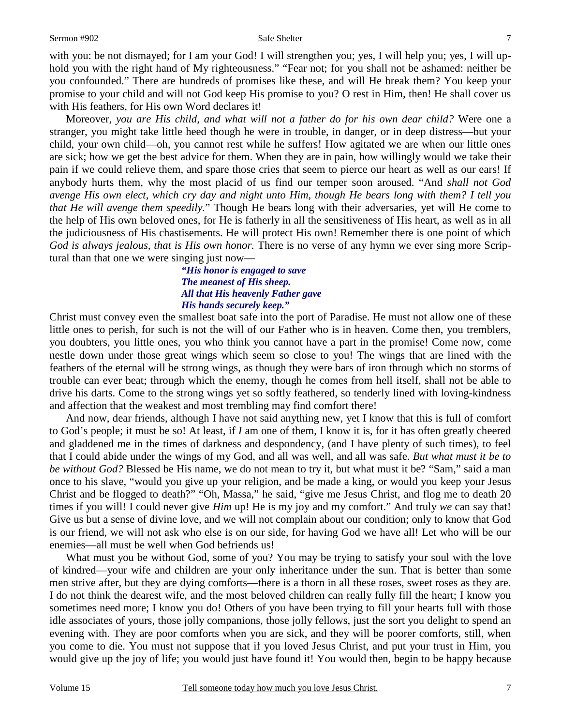with you: be not dismayed; for I am your God! I will strengthen you; yes, I will help you; yes, I will uphold you with the right hand of My righteousness." "Fear not; for you shall not be ashamed: neither be you confounded." There are hundreds of promises like these, and will He break them? You keep your promise to your child and will not God keep His promise to you? O rest in Him, then! He shall cover us with His feathers, for His own Word declares it!

 Moreover, *you are His child, and what will not a father do for his own dear child?* Were one a stranger, you might take little heed though he were in trouble, in danger, or in deep distress—but your child, your own child—oh, you cannot rest while he suffers! How agitated we are when our little ones are sick; how we get the best advice for them. When they are in pain, how willingly would we take their pain if we could relieve them, and spare those cries that seem to pierce our heart as well as our ears! If anybody hurts them, why the most placid of us find our temper soon aroused. "And *shall not God avenge His own elect, which cry day and night unto Him, though He bears long with them? I tell you that He will avenge them speedily.*" Though He bears long with their adversaries, yet will He come to the help of His own beloved ones, for He is fatherly in all the sensitiveness of His heart, as well as in all the judiciousness of His chastisements. He will protect His own! Remember there is one point of which *God is always jealous, that is His own honor.* There is no verse of any hymn we ever sing more Scriptural than that one we were singing just now—

### *"His honor is engaged to save The meanest of His sheep. All that His heavenly Father gave His hands securely keep."*

Christ must convey even the smallest boat safe into the port of Paradise. He must not allow one of these little ones to perish, for such is not the will of our Father who is in heaven. Come then, you tremblers, you doubters, you little ones, you who think you cannot have a part in the promise! Come now, come nestle down under those great wings which seem so close to you! The wings that are lined with the feathers of the eternal will be strong wings, as though they were bars of iron through which no storms of trouble can ever beat; through which the enemy, though he comes from hell itself, shall not be able to drive his darts. Come to the strong wings yet so softly feathered, so tenderly lined with loving-kindness and affection that the weakest and most trembling may find comfort there!

 And now, dear friends, although I have not said anything new, yet I know that this is full of comfort to God's people; it must be so! At least, if *I* am one of them, I know it is, for it has often greatly cheered and gladdened me in the times of darkness and despondency, (and I have plenty of such times), to feel that I could abide under the wings of my God, and all was well, and all was safe. *But what must it be to be without God?* Blessed be His name, we do not mean to try it, but what must it be? "Sam," said a man once to his slave, "would you give up your religion, and be made a king, or would you keep your Jesus Christ and be flogged to death?" "Oh, Massa," he said, "give me Jesus Christ, and flog me to death 20 times if you will! I could never give *Him* up! He is my joy and my comfort." And truly *we* can say that! Give us but a sense of divine love, and we will not complain about our condition; only to know that God is our friend, we will not ask who else is on our side, for having God we have all! Let who will be our enemies—all must be well when God befriends us!

What must you be without God, some of you? You may be trying to satisfy your soul with the love of kindred—your wife and children are your only inheritance under the sun. That is better than some men strive after, but they are dying comforts—there is a thorn in all these roses, sweet roses as they are. I do not think the dearest wife, and the most beloved children can really fully fill the heart; I know you sometimes need more; I know you do! Others of you have been trying to fill your hearts full with those idle associates of yours, those jolly companions, those jolly fellows, just the sort you delight to spend an evening with. They are poor comforts when you are sick, and they will be poorer comforts, still, when you come to die. You must not suppose that if you loved Jesus Christ, and put your trust in Him, you would give up the joy of life; you would just have found it! You would then, begin to be happy because